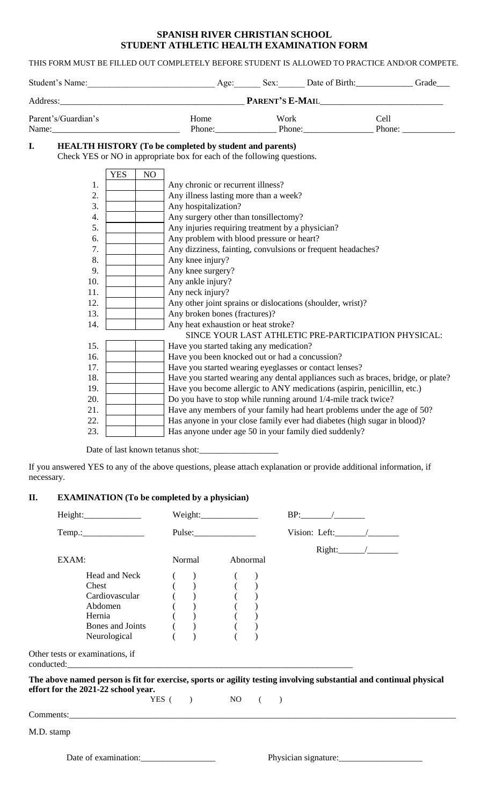## **SPANISH RIVER CHRISTIAN SCHOOL STUDENT ATHLETIC HEALTH EXAMINATION FORM**

THIS FORM MUST BE FILLED OUT COMPLETELY BEFORE STUDENT IS ALLOWED TO PRACTICE AND/OR COMPETE.

|                                                  |            |    | Student's Name: Age: Sex: Date of Birth: Grade Grade                                                                                      |      |  |                                                                                                                                                                                                                                        |
|--------------------------------------------------|------------|----|-------------------------------------------------------------------------------------------------------------------------------------------|------|--|----------------------------------------------------------------------------------------------------------------------------------------------------------------------------------------------------------------------------------------|
|                                                  |            |    | Address: 2008 Manual Manual Manual Manual Manual PARENT'S E-MAIL                                                                          |      |  |                                                                                                                                                                                                                                        |
| Parent's/Guardian's<br>Name: $\frac{1}{2}$ Name: |            |    | Home                                                                                                                                      | Work |  | Cell<br>Phone: Phone: Phone: Phone: Phone: Phone: Phone: Phone: Phone: Phone: Phone: Phone: Phone: Phone: Phone: Phone: Phone: Phone: Phone: Phone: Phone: Phone: Phone: Phone: Phone: Phone: Phone: Phone: Phone: Phone: Phone: Phone |
| I.                                               |            |    | <b>HEALTH HISTORY</b> (To be completed by student and parents)<br>Check YES or NO in appropriate box for each of the following questions. |      |  |                                                                                                                                                                                                                                        |
| 1.                                               | <b>YES</b> | NO |                                                                                                                                           |      |  |                                                                                                                                                                                                                                        |
| 2.                                               |            |    | Any chronic or recurrent illness?<br>Any illness lasting more than a week?                                                                |      |  |                                                                                                                                                                                                                                        |
| 3.                                               |            |    | Any hospitalization?                                                                                                                      |      |  |                                                                                                                                                                                                                                        |
| 4.                                               |            |    | Any surgery other than tonsillectomy?                                                                                                     |      |  |                                                                                                                                                                                                                                        |
| 5.                                               |            |    | Any injuries requiring treatment by a physician?                                                                                          |      |  |                                                                                                                                                                                                                                        |
| 6.                                               |            |    | Any problem with blood pressure or heart?                                                                                                 |      |  |                                                                                                                                                                                                                                        |
| 7.                                               |            |    | Any dizziness, fainting, convulsions or frequent headaches?                                                                               |      |  |                                                                                                                                                                                                                                        |
| 8.                                               |            |    | Any knee injury?                                                                                                                          |      |  |                                                                                                                                                                                                                                        |
| $\sim$                                           |            |    | $\sqrt{1}$ 0                                                                                                                              |      |  |                                                                                                                                                                                                                                        |

9. Any knee surgery? 10. **Any ankle injury?** 11. Any neck injury? 12. Any other joint sprains or dislocations (shoulder, wrist)? 13. Any broken bones (fractures)? 14. Any heat exhaustion or heat stroke? SINCE YOUR LAST ATHLETIC PRE-PARTICIPATION PHYSICAL: 15. **Have you started taking any medication?** 16. **Have you been knocked out or had a concussion?** 17. **Have you started wearing eyeglasses or contact lenses?** 18. **Have you started wearing any dental appliances such as braces, bridge, or plate?** 19. Have you become allergic to ANY medications (aspirin, penicillin, etc.) 20. **Do you have to stop while running around 1/4-mile track twice?** 21. **Have any members of your family had heart problems under the age of 50?** 22. Has anyone in your close family ever had diabetes (high sugar in blood)? 23. Has anyone under age 50 in your family died suddenly?

Date of last known tetanus shot:

If you answered YES to any of the above questions, please attach explanation or provide additional information, if necessary.

# **II. EXAMINATION (To be completed by a physician)**

|                                                                                                                                      |                                                            | Pulse:             | Vision: Left: $\_\_\_\_\_\_\_\_\_\_\_\_\$                                                                          |  |
|--------------------------------------------------------------------------------------------------------------------------------------|------------------------------------------------------------|--------------------|--------------------------------------------------------------------------------------------------------------------|--|
| EXAM:                                                                                                                                | Normal                                                     | Abnormal           |                                                                                                                    |  |
| Head and Neck<br>Chest<br>Cardiovascular<br>Abdomen<br>Hernia<br>Bones and Joints<br>Neurological<br>Other tests or examinations, if | $\begin{pmatrix} 1 \\ 1 \\ 0 \\ 0 \\ 0 \\ 0 \end{pmatrix}$ |                    |                                                                                                                    |  |
| effort for the 2021-22 school year.                                                                                                  |                                                            | YES $( )$ NO $( )$ | The above named person is fit for exercise, sports or agility testing involving substantial and continual physical |  |
|                                                                                                                                      |                                                            |                    |                                                                                                                    |  |
| M.D. stamp                                                                                                                           |                                                            |                    |                                                                                                                    |  |
| Date of examination:                                                                                                                 |                                                            |                    | Physician signature:                                                                                               |  |